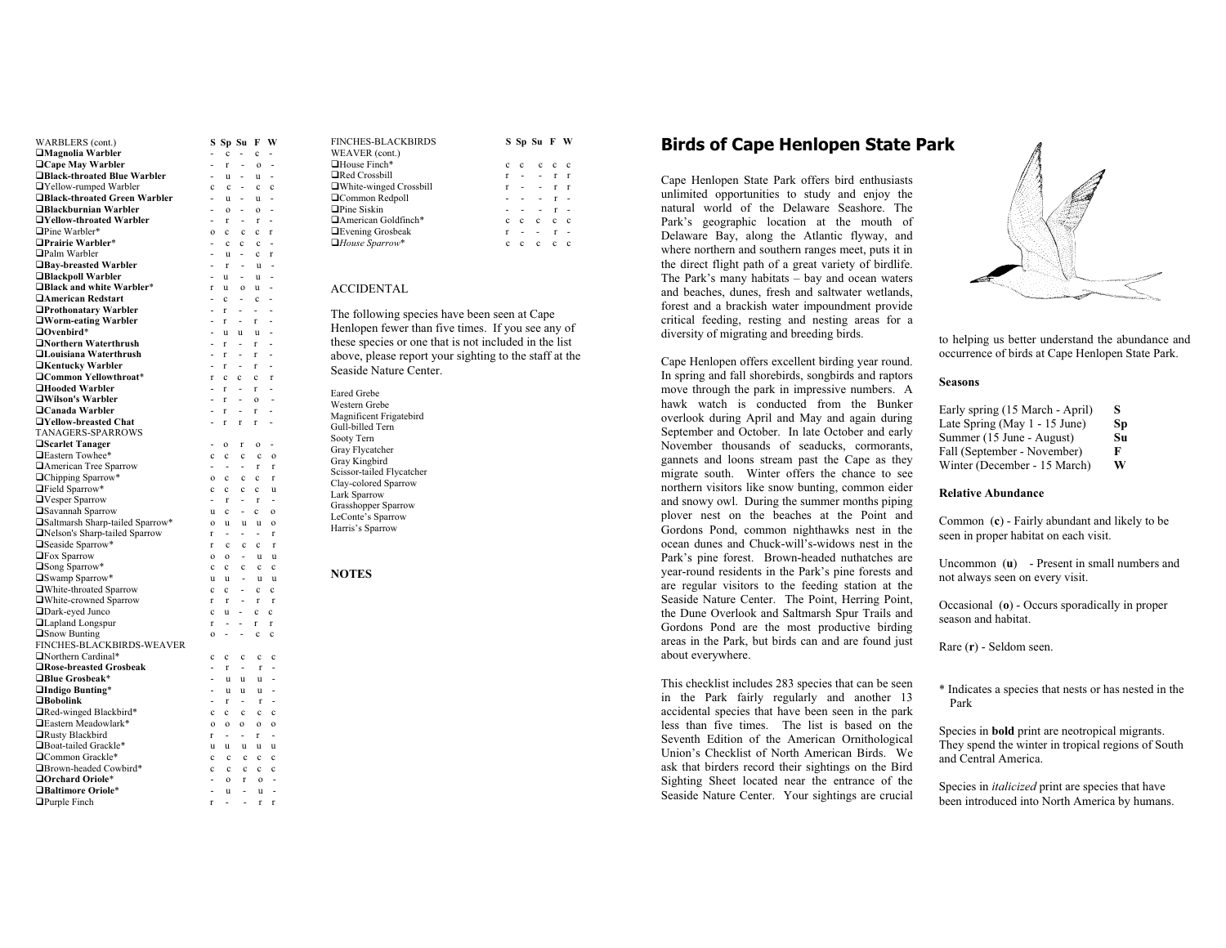| WARBLERS (cont.)                           | s                                |                          | Sp Su                                   | F                           | W                                |
|--------------------------------------------|----------------------------------|--------------------------|-----------------------------------------|-----------------------------|----------------------------------|
| $\Box$ Magnolia Warbler                    | -                                | $\mathbf c$              | $\overline{\phantom{0}}$                | c                           | ٠                                |
| $\Box$ Cape May Warbler                    | $\overline{a}$                   | r                        | $\overline{a}$                          | $\mathbf{o}$                | L,                               |
| □Black-throated Blue Warbler               | $\overline{a}$                   | u                        | $\overline{\phantom{0}}$                | u                           | $\overline{a}$                   |
| □Yellow-rumped Warbler                     | c                                | $\mathbf c$              | $\overline{a}$                          | $\mathbf c$                 | $\mathbf c$                      |
| □Black-throated Green Warbler              | $\overline{a}$                   | u                        | $\frac{1}{2}$                           | u                           | $\overline{a}$                   |
| □Blackburnian Warbler                      | $\overline{\phantom{0}}$         | $\mathbf{o}$             | $\overline{\phantom{0}}$                | $\mathbf{o}$                | L,                               |
| □Yellow-throated Warbler                   | $\overline{\phantom{0}}$         | r                        | $\overline{\phantom{m}}$                | $\mathbf r$                 | Ĭ.                               |
| Pine Warbler*                              | o                                | c                        | c                                       | c                           | r                                |
| □Prairie Warbler*                          | $\overline{a}$                   | c                        | $\mathbf c$                             | $\mathbf c$                 | $\overline{a}$                   |
| <b>□Palm Warbler</b>                       | $\overline{a}$                   | u                        | $\overline{\phantom{a}}$                | $\mathbf{c}$                | r                                |
| □Bay-breasted Warbler                      | $\overline{\phantom{a}}$         | $\mathbf r$              | $\frac{1}{2}$                           | u                           | Ĭ.                               |
| □Blackpoll Warbler                         | $\overline{a}$                   | u                        | $\overline{a}$                          | u                           | $\overline{a}$                   |
| □Black and white Warbler*                  | r                                | u                        | $\mathbf{o}$                            | u                           | -                                |
| <b>Hamerican Redstart</b>                  | ÷.                               | $\mathbf{c}$             | $\overline{\phantom{a}}$                | $\mathbf c$                 | $\overline{a}$                   |
| □Prothonatary Warbler                      | L,                               | r                        | L.                                      | ÷.                          | $\overline{a}$                   |
| □Worm-eating Warbler                       | $\overline{a}$                   | r                        | $\overline{\phantom{0}}$                | r                           | $\overline{a}$                   |
| $\Box$ Ovenbird*<br>□Northern Waterthrush  | $\overline{\phantom{0}}$         | $\mathbf{u}$             | $\mathbf{u}$                            | $\mathbf{u}$                |                                  |
| □Louisiana Waterthrush                     | $\overline{\phantom{0}}$         | r                        | $\overline{\phantom{a}}$                | r                           |                                  |
|                                            | $\overline{a}$<br>$\overline{a}$ | r<br>r                   | $\qquad \qquad \blacksquare$            | r<br>r                      | $\overline{a}$<br>$\overline{a}$ |
| □Kentucky Warbler<br>□Common Yellowthroat* | r                                |                          |                                         |                             | r                                |
| □Hooded Warbler                            | $\overline{\phantom{0}}$         | c<br>r                   | $\mathbf c$<br>$\overline{\phantom{a}}$ | $\mathbf c$<br>$\mathbf{r}$ |                                  |
| □Wilson's Warbler                          | $\overline{a}$                   | r                        | $\overline{\phantom{0}}$                |                             | $\overline{a}$                   |
| $\Box$ Canada Warbler                      | $\overline{\phantom{0}}$         | r                        | $\overline{\phantom{m}}$                | $\mathbf{o}$<br>r           |                                  |
| □Yellow-breasted Chat                      | $\overline{\phantom{0}}$         | r                        | $\mathbf{r}$                            | r                           |                                  |
| TANAGERS-SPARROWS                          |                                  |                          |                                         |                             |                                  |
| □Scarlet Tanager                           | $\overline{\phantom{0}}$         | $\mathbf{o}$             | r                                       | $\mathbf{o}$                | -                                |
| □Eastern Towhee*                           | c                                | c                        | $\mathbf c$                             | $\mathbf c$                 | $\mathbf{o}$                     |
| American Tree Sparrow                      | -                                |                          | $\overline{\phantom{0}}$                | r                           | r                                |
| □Chipping Sparrow*                         | $\mathbf{o}$                     | $\mathbf{c}$             | $\mathbf c$                             | $\mathbf c$                 | $\mathbf{r}$                     |
| □Field Sparrow*                            | c                                | c                        | $\mathbf c$                             | $\mathbf{c}$                | ū                                |
| □Vesper Sparrow                            | $\overline{\phantom{0}}$         | r                        | $\overline{\phantom{0}}$                | $\mathbf{r}$                | $\frac{1}{2}$                    |
| <b>□Savannah Sparrow</b>                   | u                                | c                        |                                         | $\mathbf c$                 | $\mathbf{o}$                     |
| □Saltmarsh Sharp-tailed Sparrow*           | $\Omega$                         | u                        | u                                       | $\mathbf{u}$                | $\mathbf{o}$                     |
| □Nelson's Sharp-tailed Sparrow             | r                                | $\frac{1}{2}$            | $\overline{\phantom{0}}$                | $\overline{\phantom{a}}$    | $\mathbf{r}$                     |
| □Seaside Sparrow*                          | r                                | c                        | $\mathbf c$                             | $\mathbf c$                 | $\mathbf{r}$                     |
| <b>□Fox Sparrow</b>                        | $\mathbf{o}$                     | $\mathbf{o}$             | $\qquad \qquad -$                       | u                           | $\mathbf{u}$                     |
| <b>□Song Sparrow*</b>                      | $\mathbf{c}$                     | $\mathbf{c}$             | c                                       | $\mathbf{c}$                | $\mathbf c$                      |
| □Swamp Sparrow*                            | u                                | u                        |                                         | u                           | u                                |
| □White-throated Sparrow                    | $\mathbf c$                      | c                        | $\qquad \qquad -$                       | $\mathbf c$                 | $\mathbf c$                      |
| □White-crowned Sparrow                     | r                                | r                        |                                         | r                           | $\mathbf{r}$                     |
| □Dark-eyed Junco                           | $\mathbf{c}$                     | u                        | $\overline{\phantom{m}}$                | $\mathbf{c}$                | $\mathbf{c}$                     |
| <b>□Lapland Longspur</b>                   | r                                |                          | -                                       | r                           | r                                |
| $\square$ Snow Bunting                     | $\mathbf{o}$                     | $\overline{a}$           | -                                       | c                           | $\mathbf c$                      |
| FINCHES-BLACKBIRDS-WEAVER                  |                                  |                          |                                         |                             |                                  |
| Northern Cardinal*                         | c                                | c                        | $\mathbf c$                             | $\mathbf c$                 | c                                |
| □Rose-breasted Grosbeak                    | -                                | r                        | $\overline{\phantom{a}}$                | $\mathbf r$                 | -                                |
| □Blue Grosbeak*                            |                                  | u                        | u                                       | $\mathbf{u}$                | $\overline{a}$                   |
| □Indigo Bunting*                           |                                  | u                        | u                                       | u                           |                                  |
| $\Box$ Bobolink                            | $\overline{\phantom{a}}$         | r                        | $\overline{\phantom{0}}$                | $\mathbf r$                 |                                  |
| □Red-winged Blackbird*                     | c                                | c                        | $\mathbf c$                             | c                           | c                                |
| □Eastern Meadowlark*                       | $\mathbf{o}$                     | $\mathbf{o}$             | $\mathbf{o}$                            | $\mathbf{o}$                | $\mathbf{o}$                     |
| Rusty Blackbird                            | r                                | $\overline{\phantom{a}}$ | $\overline{\phantom{a}}$                | r                           | $\frac{1}{2}$                    |
| □Boat-tailed Grackle*                      | u                                | u                        | u                                       | <b>u</b>                    | u                                |
| □Common Grackle*                           | c                                | $\mathbf c$              | $\mathbf{c}$                            | $\mathbf c$                 | $\mathbf c$                      |
| □Brown-headed Cowbird*                     | c                                | $\mathbf{c}$             | $\mathbf{c}$                            | $\mathbf{c}$                | $\mathbf c$                      |
| □Orchard Oriole*                           |                                  | $\mathbf{o}$             | r                                       | $\mathbf 0$                 |                                  |
| <b>□Baltimore Oriole*</b>                  | ÷.                               | u                        | $\overline{\phantom{a}}$                | u                           | $\overline{a}$                   |
| $\Box$ Purple Finch                        | r                                | ÷,                       | L.                                      | r                           | r                                |

| <b>FINCHES-BLACKBIRDS</b> |   |              | S Sp Su F W |              |          |
|---------------------------|---|--------------|-------------|--------------|----------|
| WEAVER (cont.)            |   |              |             |              |          |
| $\Box$ House Finch*       |   | $\mathbf{c}$ | c c         |              | c        |
| $\Box$ Red Crossbill      |   |              |             | $\mathbf{r}$ | <b>r</b> |
| □White-winged Crossbill   | r |              |             |              | r        |
| □Common Redpoll           |   |              |             |              |          |
| $\Box$ Pine Siskin        |   |              |             |              |          |
| □American Goldfinch*      |   | c            | c           | c            | c.       |
| <b>Evening Grosbeak</b>   | r |              |             | r            |          |
| $\Box$ House Sparrow*     | c |              | c.          |              | c        |

## ACCIDENTAL

The following species have been seen at Cape Henlopen fewer than five times. If you see any of these species or one that is not included in the list above, please report your sighting to the staff at the Seaside Nature Center.

**NOTES**

## **Birds of Ca pe Henlo pen State Par k**

Cape Henlopen State Park offers bird enthusiasts unlimited opportunities to study and enjoy the natural world of the Delaware Seashore. The Park's geographic location at the mouth of Delaware Bay, along the Atlantic flyway, and where northern and southern ranges meet, puts it in the direct flight path of a great variety of birdlife. The Park's many habitats – bay and ocean waters and beaches, dunes, fresh and saltwater wetlands, forest and a brackish water impoundment provide critical feeding, resting and nesting areas for a diversity of migrating and breeding birds.

Cape Henlopen offers excellent birding year round. In spring and fall shorebirds, songbirds and raptors move through the park in impressive numbers. A hawk watch is conducted from the Bunker overlook during April and May and again during September and October. In late October and early November thousands of seaducks, cormorants, gannets and loons stream past the Cape as they migrate south. Winter offers the chance to see northern visitors like snow bunting, common eider and snowy owl. During the summer months piping plover nest on the beaches at the Point and Gordons Pond, common nighthawks nest in the ocean dunes and Chuck-will's-widows nest in the Park's pine forest. Brown-headed nuthatches are year-round residents in the Park's pine forests and are regular visitors to the feeding station at the Seaside Nature Center. The Point, Herring Point, the Dune Overlook and Saltmarsh Spur Trails and Gordons Pond are the most productive birding areas in the Park, but birds can and are found just about everywhere.

This checklist includes 283 species that can be seen in the Park fairly regularly and another 13 accidental species that have been seen in the park less than five times. The list is based on the Seventh Edition of the American Ornithological Union's Checklist of North American Birds. We ask that birders record their sightings on the Bird Sighting Sheet located near the entrance of the Seaside Nature Center. Your sightings are crucial



to helping us better understand the abundance and occurrence of birds at Cape Henlopen State Park.

## **Seasons**

| Early spring (15 March - April) | s  |
|---------------------------------|----|
| Late Spring (May 1 - 15 June)   | Sp |
| Summer (15 June - August)       | Su |
| Fall (September - November)     | F  |
| Winter (December - 15 March)    | W  |

## **Relative Abundance**

Common (**c**) - Fairly abundant and likely to be seen in proper habitat on each visit.

Uncommon (**u**) - Present in small numbers and not always seen on every visit.

Occasional (**o**) - Occurs sporadically in proper season and habitat.

Rare (**r**) - Seldom seen.

\* Indicates a species that nests or has nested in the Park

Species in **bold** print are neotropical migrants. They spend the winter in tropical regions of South and Central America.

Species in *italicized* print are species that have been introduced into North America by humans.